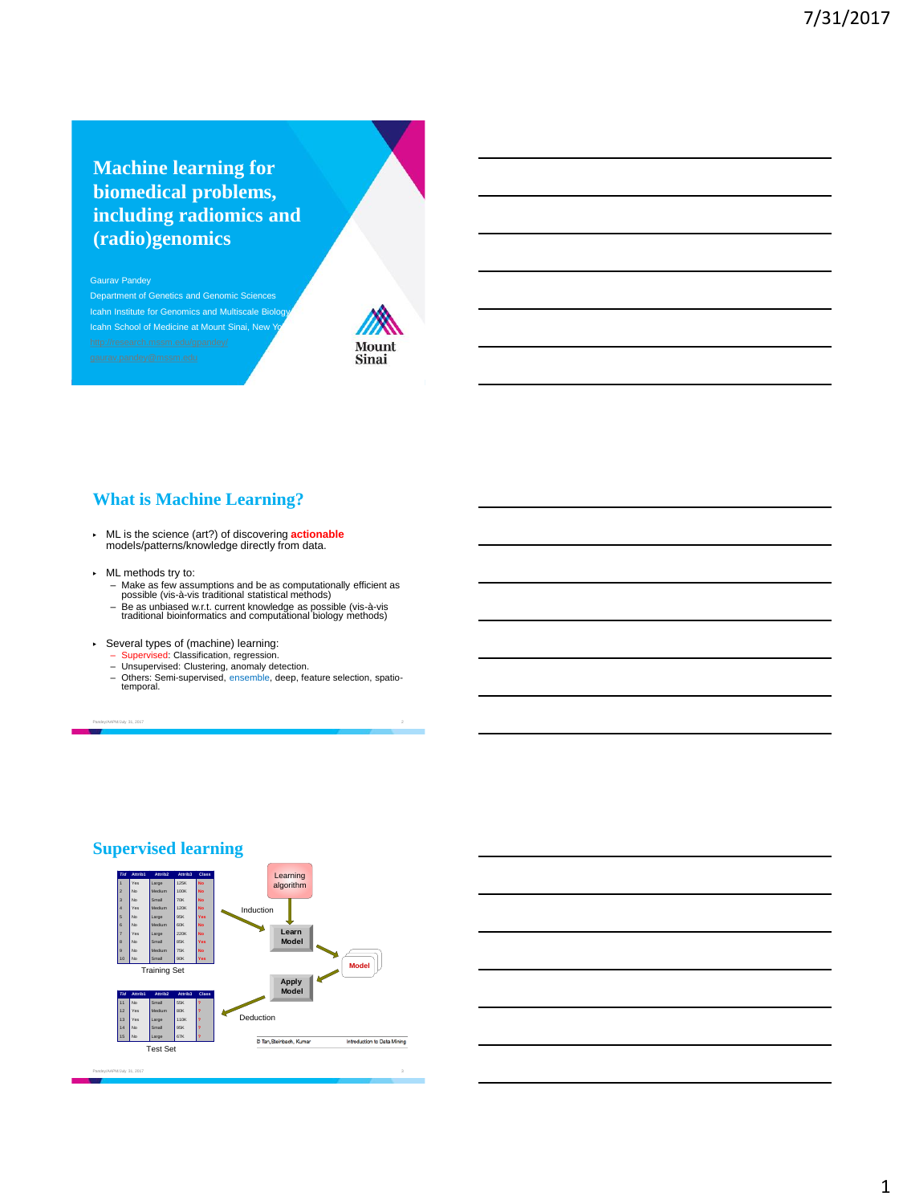# **Machine learning for biomedical problems, including radiomics and (radio)genomics**

#### Gaurav Pandey

Department of Genetics and Genomic Sciences Icahn Institute for Genomics and Multiscale Biology Icahn School of Medicine at Mount Sinai, New



# **What is Machine Learning?**

- ▶ ML is the science (art?) of discovering **actionable** models/patterns/knowledge directly from data.
- ▶ ML methods try to:
	- Make as few assumptions and be as computationally efficient as<br>possible (vis-à-vis traditional statistical methods)<br>- Be as unbiased w.r.t. current knowledge as possible (vis-à-vis<br>traditional bioinformatics and computat
	-
- ▶ Several types of (machine) learning:
	- Supervised: Classification, regression.<br>– Unsupervised: Clustering, anomaly detection.
	-
	- Others: Semi-supervised, ensemble, deep, feature selection, spatio-temporal.

Pandey/AAPM/July 31, 2017 2



## **Supervised learning**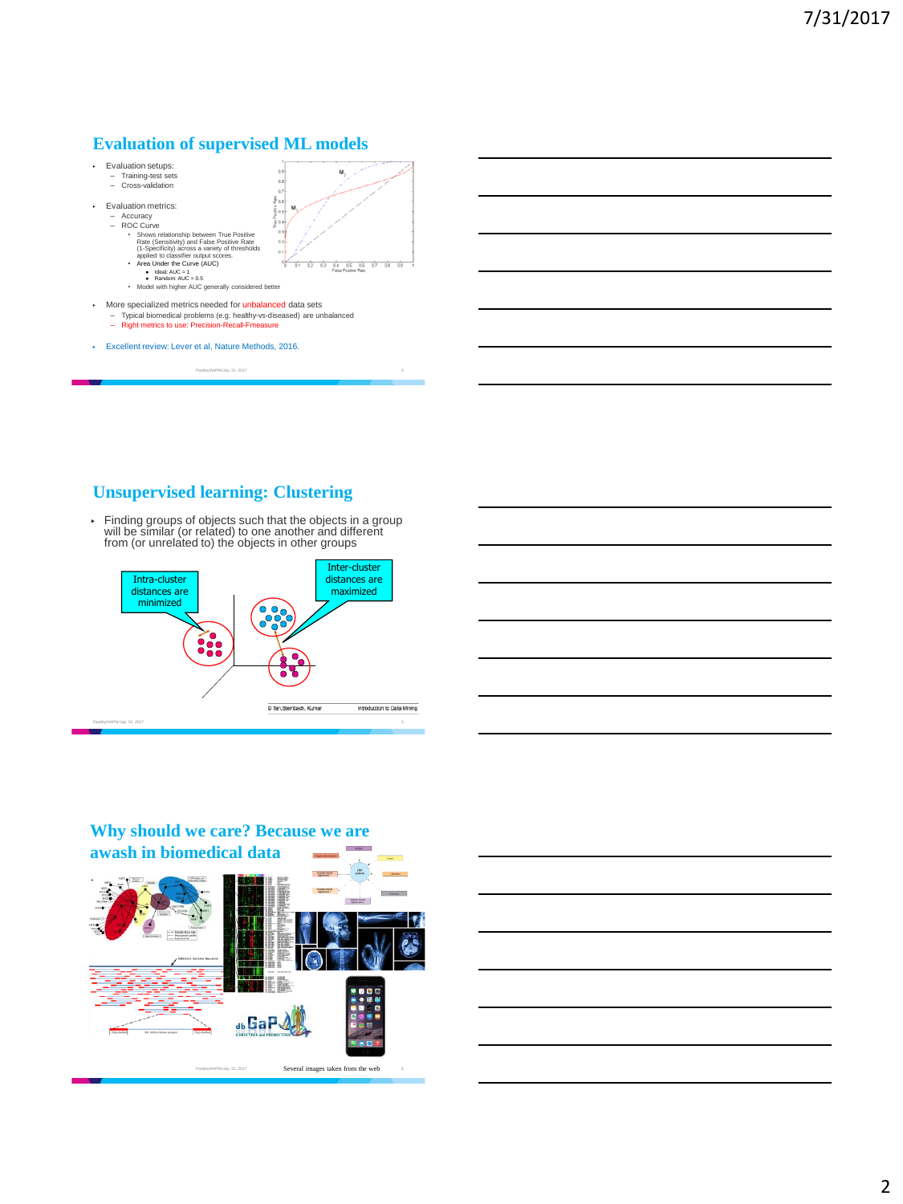## **Evaluation of supervised ML models**



# **Unsupervised learning: Clustering**

▶ Finding groups of objects such that the objects in a group will be similar (or related) to one another and different from (or unrelated to) the objects in other groups





# **Why should we care? Because we are**

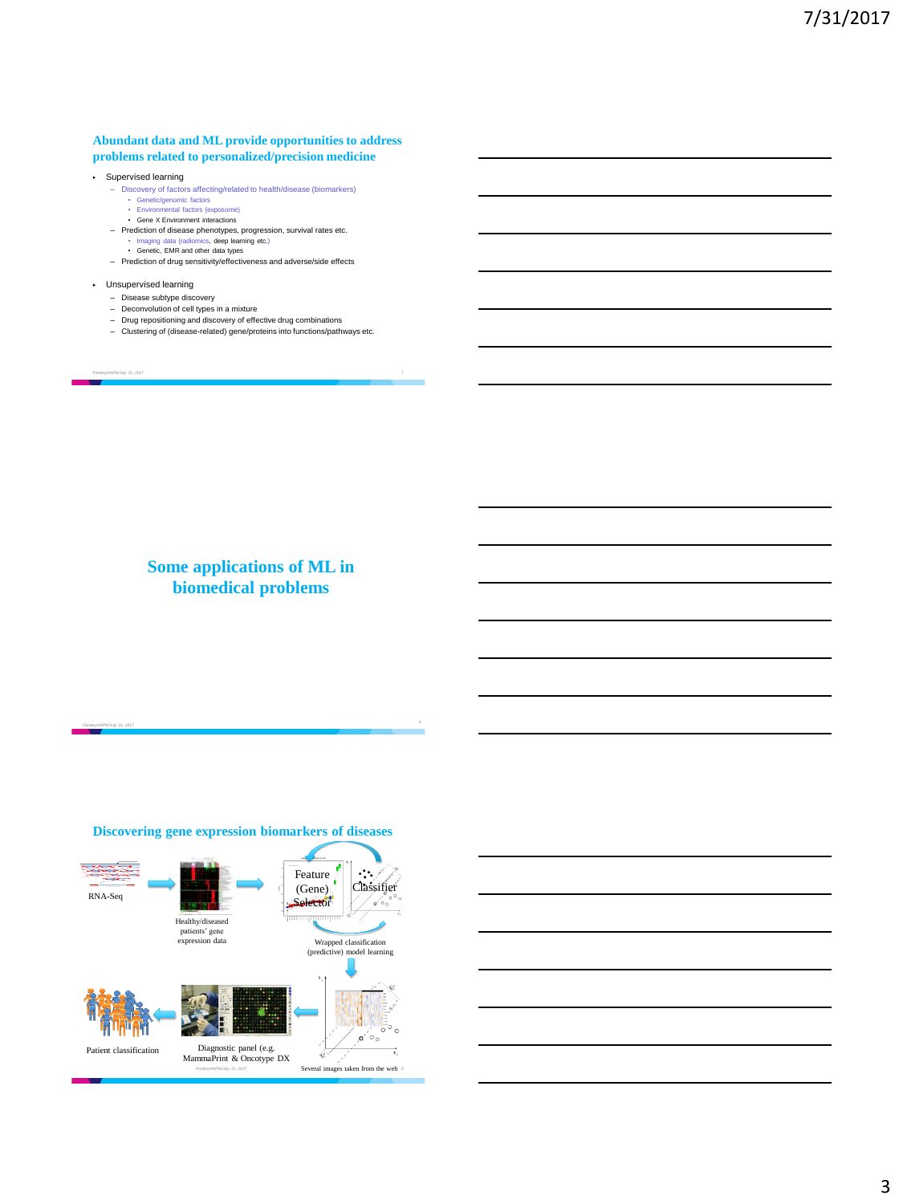#### **Abundant data and ML provide opportunities to address problems related to personalized/precision medicine**

- ▶ Supervised learning Discovery of factors affecting/related to health/disease (biomarkers)
	- Genetic/genomic factors • Environmental factors (exposome)
	- Gene X Environment interactions
	- Prediction of disease phenotypes, progression, survival rates etc.
		- Imaging data (radiomics, deep learning etc.) Genetic, EMR and other data types
	-
	- Prediction of drug sensitivity/effectiveness and adverse/side effects

#### ▶ Unsupervised learning

- Disease subtype discovery Deconvolution of cell types in a mixture
- 
- Drug repositioning and discovery of effective drug combinations Clustering of (disease-related) gene/proteins into functions/pathways etc.
- 

Pandey/AAPM/July 31, 2017 7

Pandey/AAPM/July 31, 2017

# **Some applications of ML in biomedical problems**

### **Discovering gene expression biomarkers of diseases** Feature  $\sim$   $\sim$ Classifier (Gene) RNA-Seq **Selector**  $\mathfrak{o}'\mathfrak{o}_\mathfrak{o}$ Healthy/diseased patients' gene expression data Wrapped classification (predictive) model learning  $\mathfrak{o}' \circ \mathfrak{o}$ Patient classification Diagnostic panel (e.g. MammaPrint & Oncotype DX á Panday/AAPM/July 31, 2017 **Several images taken from the web** 9

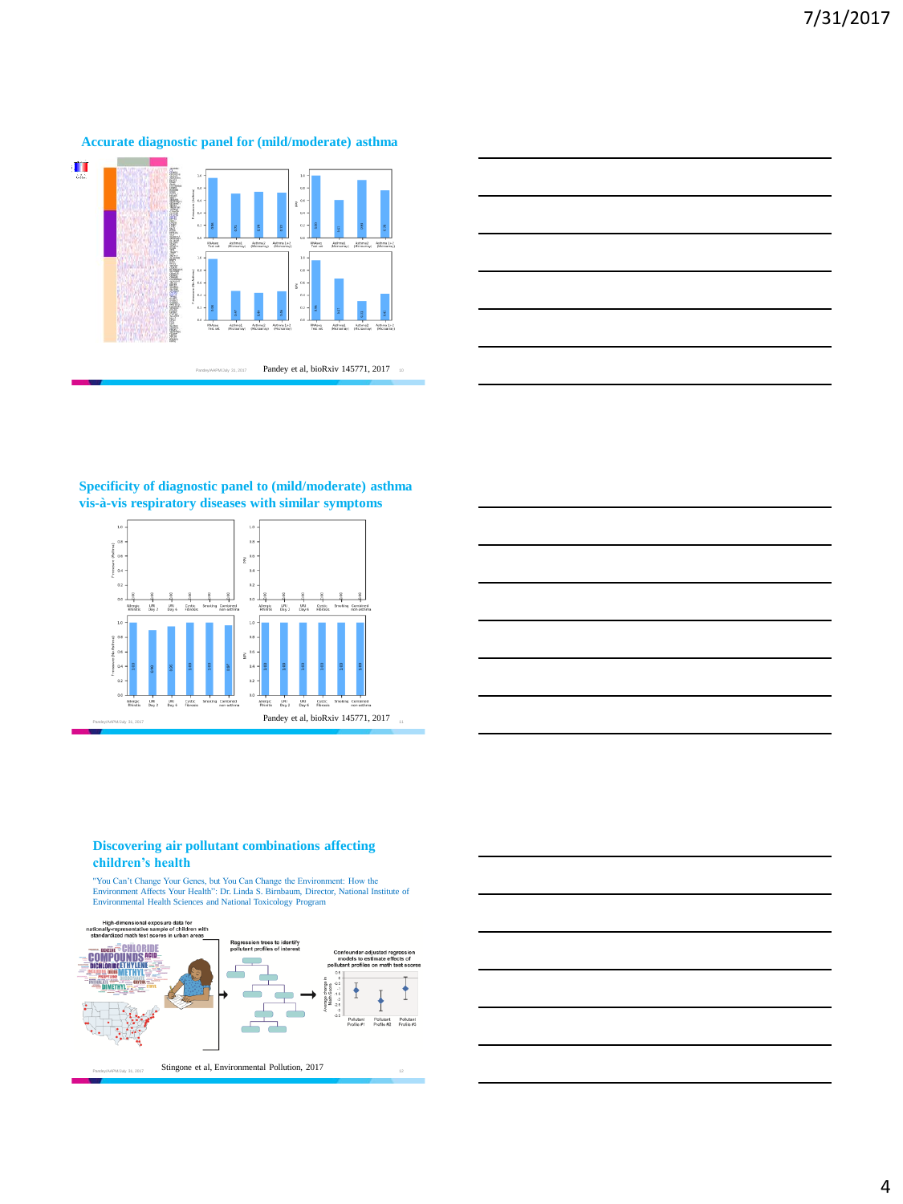



## **Specificity of diagnostic panel to (mild/moderate) asthma vis-à-vis respiratory diseases with similar symptoms**





### **Discovering air pollutant combinations affecting children's health**

"You Can't Change Your Genes, but You Can Change the Environment: How the<br>Environment Affects Your Health": Dr. Linda S. Birnbaum, Director, National Institute of<br>Environmental Health Sciences and National Toxicology Progr



## **Accurate diagnostic panel for (mild/moderate) asthma**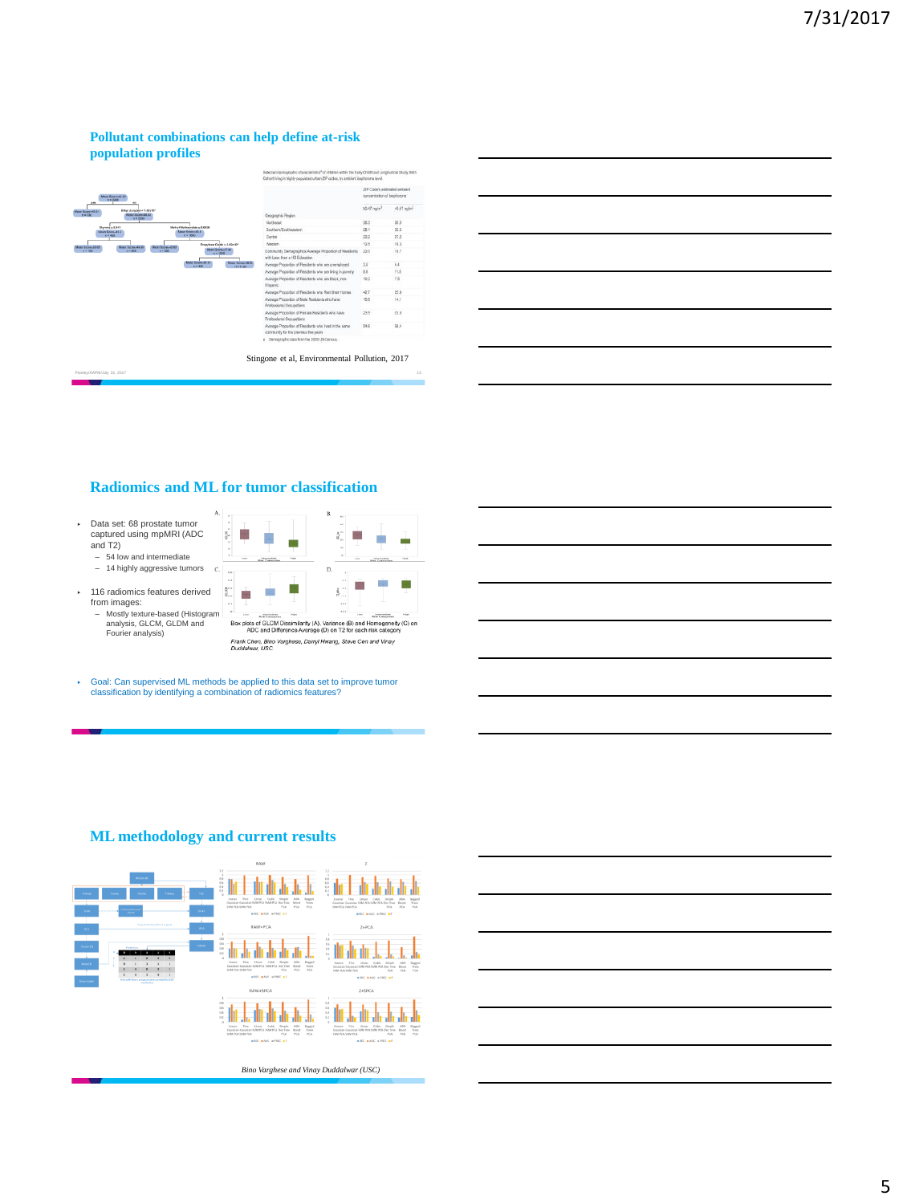## **Pollutant combinations can help define at-risk population profiles**



|                                       | ZIP Code's extimated problem!<br>concentration of isoshorone |                           |  |
|---------------------------------------|--------------------------------------------------------------|---------------------------|--|
|                                       | $20.47$ naim <sup>2</sup>                                    | $-0.47$ malm <sup>3</sup> |  |
|                                       | 36.3                                                         | 20.0                      |  |
|                                       | 28.1                                                         | 33.5                      |  |
|                                       | 23.2                                                         | 27.2                      |  |
|                                       | 12.5                                                         | 19.3                      |  |
| age Proportion of Residents           | 22.0                                                         | 19.7<br>æ                 |  |
| who are unemployed                    | 35                                                           | 4.4.                      |  |
| who are Iving in poverty              | 8.8                                                          | 11.8                      |  |
| who are Black, non-                   | 19.2                                                         | 7.8                       |  |
| who Rent their Homes                  | 42.7                                                         | 25S                       |  |
| dents who have                        | 98.8                                                         | 141                       |  |
| esidents who have                     | 23.5                                                         | 23.0                      |  |
| who lived in the same<br><b>NESTE</b> | 54.6                                                         | 58.4                      |  |
| DO US Census.                         |                                                              |                           |  |

|                                                                                                                       |  | <u> 1989 - Andrea Santa Andrea Andrea Andrea Andrea Andrea Andrea Andrea Andrea Andrea Andrea Andrea Andrea Andr</u> |
|-----------------------------------------------------------------------------------------------------------------------|--|----------------------------------------------------------------------------------------------------------------------|
|                                                                                                                       |  |                                                                                                                      |
|                                                                                                                       |  | <u> 1989 - Johann Barn, amerikansk politiker (d. 1989)</u>                                                           |
| <u> 1989 - Johann Stoff, deutscher Stoff, der Stoff, der Stoff, der Stoff, der Stoff, der Stoff, der Stoff, der S</u> |  |                                                                                                                      |
|                                                                                                                       |  |                                                                                                                      |

## **Radiomics and ML for tumor classification**

 $\epsilon$ 

 $\overline{\S}^{**}_{\alpha}$ 

- ▶ Data set: 68 prostate tumor captured using mpMRI (ADC and T2)
	- 54 low and intermediate – 14 highly aggressive tumors
	-
- ▶ 116 radiomics features derived from images: – Mostly texture-based (Histogram analysis, GLCM, GLDM and Fourier analysis)



▶ Goal: Can supervised ML methods be applied to this data set to improve tumor classification by identifying a combination of radiomics features?



## **ML methodology and current results**

*Bino Varghese and Vinay Duddalwar (USC)*